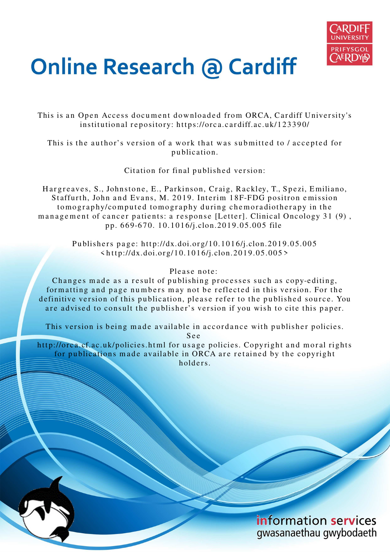

## **Online Research @ Cardiff**

This is an Open Access document downloaded from ORCA, Cardiff University's institutional repository: https://orca.cardiff.ac.uk/123390/

This is the author's version of a work that was submitted to / accepted for p u blication.

Citation for final published version:

Hargreaves, S., Johnstone, E., Parkinson, Craig, Rackley, T., Spezi, Emiliano, Staffurth, John and Evans, M. 2019. Interim 18F-FDG positron emission to mography/computed to mography during chemoradiotherapy in the management of cancer patients: a response [Letter]. Clinical Oncology 31 (9), p p. 6 6 9-6 7 0. 1 0.1 0 1 6/j.clon.20 1 9.0 5.00 5 file

> Publishers page: http://dx.doi.org/10.1016/j.clon.2019.05.005  $\langle \text{http://dx.doi.org/10.1016/j.clon.2019.05.005>}$

## Please note:

Changes made as a result of publishing processes such as copy-editing, formatting and page numbers may not be reflected in this version. For the definitive version of this publication, please refer to the published source. You are advised to consult the publisher's version if you wish to cite this paper.

This version is being made available in accordance with publisher policies.

S e e

http://orca.cf.ac.uk/policies.html for usage policies. Copyright and moral rights for publications made available in ORCA are retained by the copyright holders.

> information services gwasanaethau gwybodaeth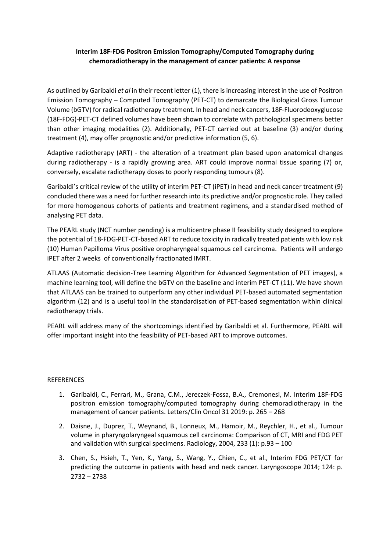## **Interim 18F-FDG Positron Emission Tomography/Computed Tomography during chemoradiotherapy in the management of cancer patients: A response**

As outlined by Garibaldi *et al* in their recent letter (1), there is increasing interest in the use of Positron Emission Tomography – Computed Tomography (PET-CT) to demarcate the Biological Gross Tumour Volume (bGTV) for radical radiotherapy treatment. In head and neck cancers, 18F-Fluorodeoxyglucose (18F-FDG)-PET-CT defined volumes have been shown to correlate with pathological specimens better than other imaging modalities (2). Additionally, PET-CT carried out at baseline (3) and/or during treatment (4), may offer prognostic and/or predictive information (5, 6).

Adaptive radiotherapy (ART) - the alteration of a treatment plan based upon anatomical changes during radiotherapy - is a rapidly growing area. ART could improve normal tissue sparing (7) or, conversely, escalate radiotherapy doses to poorly responding tumours (8).

Garibaldi's critical review of the utility of interim PET-CT (iPET) in head and neck cancer treatment (9) concluded there was a need for further research into its predictive and/or prognostic role. They called for more homogenous cohorts of patients and treatment regimens, and a standardised method of analysing PET data.

The PEARL study (NCT number pending) is a multicentre phase II feasibility study designed to explore the potential of 18-FDG-PET-CT-based ART to reduce toxicity in radically treated patients with low risk (10) Human Papilloma Virus positive oropharyngeal squamous cell carcinoma. Patients will undergo iPET after 2 weeks of conventionally fractionated IMRT.

ATLAAS (Automatic decision-Tree Learning Algorithm for Advanced Segmentation of PET images), a machine learning tool, will define the bGTV on the baseline and interim PET-CT (11). We have shown that ATLAAS can be trained to outperform any other individual PET-based automated segmentation algorithm (12) and is a useful tool in the standardisation of PET-based segmentation within clinical radiotherapy trials.

PEARL will address many of the shortcomings identified by Garibaldi et al. Furthermore, PEARL will offer important insight into the feasibility of PET-based ART to improve outcomes.

## **REFERENCES**

- 1. Garibaldi, C., Ferrari, M., Grana, C.M., Jereczek-Fossa, B.A., Cremonesi, M. Interim 18F-FDG positron emission tomography/computed tomography during chemoradiotherapy in the management of cancer patients. Letters/Clin Oncol 31 2019: p. 265 – 268
- 2. Daisne, J., Duprez, T., Weynand, B., Lonneux, M., Hamoir, M., Reychler, H., et al., Tumour volume in pharyngolaryngeal squamous cell carcinoma: Comparison of CT, MRI and FDG PET and validation with surgical specimens. Radiology, 2004, 233 (1): p.93 – 100
- 3. Chen, S., Hsieh, T., Yen, K., Yang, S., Wang, Y., Chien, C., et al., Interim FDG PET/CT for predicting the outcome in patients with head and neck cancer. Laryngoscope 2014; 124: p. 2732 – 2738